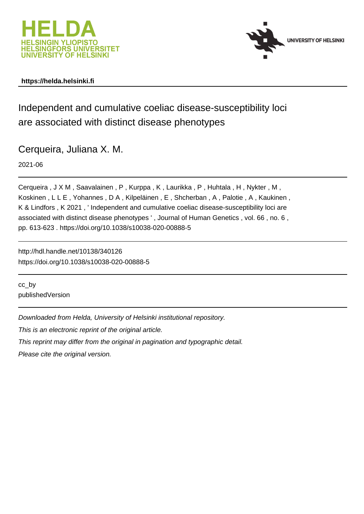



## **https://helda.helsinki.fi**

Independent and cumulative coeliac disease-susceptibility loci are associated with distinct disease phenotypes

Cerqueira, Juliana X. M.

2021-06

Cerqueira , J X M , Saavalainen , P , Kurppa , K , Laurikka , P , Huhtala , H , Nykter , M , Koskinen , L L E , Yohannes , D A , Kilpeläinen , E , Shcherban , A , Palotie , A , Kaukinen , K & Lindfors , K 2021 , ' Independent and cumulative coeliac disease-susceptibility loci are associated with distinct disease phenotypes ' , Journal of Human Genetics , vol. 66 , no. 6 , pp. 613-623 . https://doi.org/10.1038/s10038-020-00888-5

http://hdl.handle.net/10138/340126 https://doi.org/10.1038/s10038-020-00888-5

cc\_by publishedVersion

Downloaded from Helda, University of Helsinki institutional repository.

This is an electronic reprint of the original article.

This reprint may differ from the original in pagination and typographic detail.

Please cite the original version.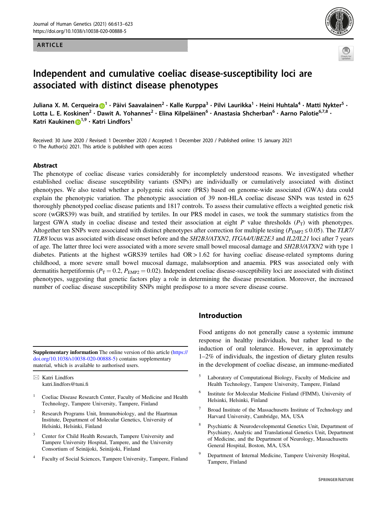#### ARTICLE





# Independent and cumulative coeliac disease-susceptibility loci are associated with distinct disease phenotypes

Juliana X. M. Cerqueira **D**<sup>[1](http://orcid.org/0000-0002-5670-9073)</sup> • Päivi Saavalainen<sup>2</sup> • Kalle Kurppa<sup>3</sup> • Pilvi Laurikka<sup>1</sup> • Heini Huhtala<sup>4</sup> • Matti Nykter<sup>5</sup> • Lotta L. E. Koskinen<sup>2</sup> · Dawit A. Yohannes<sup>2</sup> · Elina Kilpeläinen<sup>6</sup> · Anastasia Shcherban<sup>6</sup> · Aarno Palotie<sup>6,7,8</sup> · Katri Kaukinen D<sup>[1](http://orcid.org/0000-0002-5046-8133),9</sup> · Katri Lindfors<sup>1</sup>

Received: 30 June 2020 / Revised: 1 December 2020 / Accepted: 1 December 2020 / Published online: 15 January 2021 © The Author(s) 2021. This article is published with open access

#### Abstract

The phenotype of coeliac disease varies considerably for incompletely understood reasons. We investigated whether established coeliac disease susceptibility variants (SNPs) are individually or cumulatively associated with distinct phenotypes. We also tested whether a polygenic risk score (PRS) based on genome-wide associated (GWA) data could explain the phenotypic variation. The phenotypic association of 39 non-HLA coeliac disease SNPs was tested in 625 thoroughly phenotyped coeliac disease patients and 1817 controls. To assess their cumulative effects a weighted genetic risk score (wGRS39) was built, and stratified by tertiles. In our PRS model in cases, we took the summary statistics from the largest GWA study in coeliac disease and tested their association at eight P value thresholds  $(P_T)$  with phenotypes. Altogether ten SNPs were associated with distinct phenotypes after correction for multiple testing ( $P_{\text{EMP2}} \le 0.05$ ). The TLR7/ TLR8 locus was associated with disease onset before and the SH2B3/ATXN2, ITGA4/UBE2E3 and IL2/IL21 loci after 7 years of age. The latter three loci were associated with a more severe small bowel mucosal damage and SH2B3/ATXN2 with type 1 diabetes. Patients at the highest wGRS39 tertiles had OR > 1.62 for having coeliac disease-related symptoms during childhood, a more severe small bowel mucosal damage, malabsorption and anaemia. PRS was associated only with dermatitis herpetiformis ( $P_T = 0.2$ ,  $P_{EMP2} = 0.02$ ). Independent coeliac disease-susceptibility loci are associated with distinct phenotypes, suggesting that genetic factors play a role in determining the disease presentation. Moreover, the increased number of coeliac disease susceptibility SNPs might predispose to a more severe disease course.

Supplementary information The online version of this article ([https://](https://doi.org/10.1038/s10038-020-00888-5) [doi.org/10.1038/s10038-020-00888-5\)](https://doi.org/10.1038/s10038-020-00888-5) contains supplementary material, which is available to authorised users.

 $\boxtimes$  Katri Lindfors [katri.lindfors@tuni.](mailto:katri.lindfors@tuni.fi)fi

- <sup>1</sup> Coeliac Disease Research Center, Faculty of Medicine and Health Technology, Tampere University, Tampere, Finland
- <sup>2</sup> Research Programs Unit, Immunobiology, and the Haartman Institute, Department of Molecular Genetics, University of Helsinki, Helsinki, Finland
- <sup>3</sup> Center for Child Health Research, Tampere University and Tampere University Hospital, Tampere, and the University Consortium of Seinäjoki, Seinäjoki, Finland
- <sup>4</sup> Faculty of Social Sciences, Tampere University, Tampere, Finland

## Introduction

Food antigens do not generally cause a systemic immune response in healthy individuals, but rather lead to the induction of oral tolerance. However, in approximately 1–2% of individuals, the ingestion of dietary gluten results in the development of coeliac disease, an immune-mediated

- <sup>5</sup> Laboratory of Computational Biology, Faculty of Medicine and Health Technology, Tampere University, Tampere, Finland
- <sup>6</sup> Institute for Molecular Medicine Finland (FIMM), University of Helsinki, Helsinki, Finland
- <sup>7</sup> Broad Institute of the Massachusetts Institute of Technology and Harvard University, Cambridge, MA, USA
- <sup>8</sup> Psychiatric & Neurodevelopmental Genetics Unit, Department of Psychiatry, Analytic and Translational Genetics Unit, Department of Medicine, and the Department of Neurology, Massachusetts General Hospital, Boston, MA, USA
- <sup>9</sup> Department of Internal Medicine, Tampere University Hospital, Tampere, Finland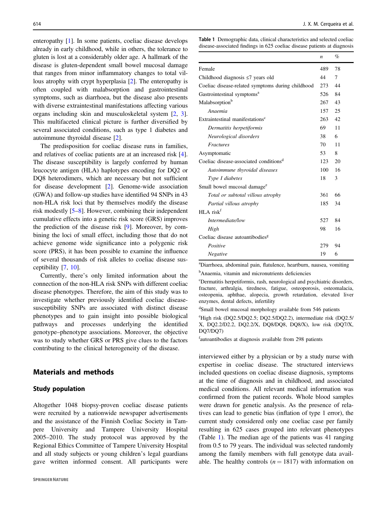enteropathy [1]. In some patients, coeliac disease develops already in early childhood, while in others, the tolerance to gluten is lost at a considerably older age. A hallmark of the disease is gluten-dependent small bowel mucosal damage that ranges from minor inflammatory changes to total villous atrophy with crypt hyperplasia [2]. The enteropathy is often coupled with malabsorption and gastrointestinal symptoms, such as diarrhoea, but the disease also presents with diverse extraintestinal manifestations affecting various organs including skin and musculoskeletal system [2, 3]. This multifaceted clinical picture is further diversified by several associated conditions, such as type 1 diabetes and autoimmune thyroidal disease [2].

The predisposition for coeliac disease runs in families, and relatives of coeliac patients are at an increased risk [4]. The disease susceptibility is largely conferred by human leucocyte antigen (HLA) haplotypes encoding for DQ2 or DQ8 heterodimers, which are necessary but not sufficient for disease development [2]. Genome-wide association (GWA) and follow-up studies have identified 94 SNPs in 43 non-HLA risk loci that by themselves modify the disease risk modestly [5–8]. However, combining their independent cumulative effects into a genetic risk score (GRS) improves the prediction of the disease risk [9]. Moreover, by combining the loci of small effect, including those that do not achieve genome wide significance into a polygenic risk score (PRS), it has been possible to examine the influence of several thousands of risk alleles to coeliac disease susceptibility [7, 10].

Currently, there's only limited information about the connection of the non-HLA risk SNPs with different coeliac disease phenotypes. Therefore, the aim of this study was to investigate whether previously identified coeliac diseasesusceptibility SNPs are associated with distinct disease phenotypes and to gain insight into possible biological pathways and processes underlying the identified genotype–phenotype associations. Moreover, the objective was to study whether GRS or PRS give clues to the factors contributing to the clinical heterogeneity of the disease.

## Materials and methods

#### Study population

Altogether 1048 biopsy-proven coeliac disease patients were recruited by a nationwide newspaper advertisements and the assistance of the Finnish Coeliac Society in Tampere University and Tampere University Hospital 2005–2010. The study protocol was approved by the Regional Ethics Committee of Tampere University Hospital and all study subjects or young children's legal guardians gave written informed consent. All participants were Table 1 Demographic data, clinical characteristics and selected coeliac disease-associated findings in 625 coeliac disease patients at diagnosis

|                                                    | n   | %  |
|----------------------------------------------------|-----|----|
| Female                                             | 489 | 78 |
| Childhood diagnosis $\leq$ 7 years old             | 44  | 7  |
| Coeliac disease-related symptoms during childhood  | 273 | 44 |
| Gastrointestinal symptoms <sup>a</sup>             | 526 | 84 |
| Malabsorption <sup>b</sup>                         | 267 | 43 |
| Anaemia                                            | 157 | 25 |
| Extraintestinal manifestations <sup>c</sup>        | 263 | 42 |
| Dermatitis herpetiformis                           | 69  | 11 |
| Neurological disorders                             | 38  | 6  |
| Fractures                                          | 70  | 11 |
| Asymptomatic                                       | 53  | 8  |
| Coeliac disease-associated conditions <sup>d</sup> | 123 | 20 |
| Autoimmune thyroidal diseases                      | 100 | 16 |
| Type I diabetes                                    | 18  | 3  |
| Small bowel mucosal damage <sup>e</sup>            |     |    |
| Total or subtotal villous atrophy                  | 361 | 66 |
| Partial villous atrophy                            | 185 | 34 |
| $HLA$ risk <sup>f</sup>                            |     |    |
| Intermediate/low                                   | 527 | 84 |
| High                                               | 98  | 16 |
| Coeliac disease autoantibodies <sup>g</sup>        |     |    |
| Positive                                           | 279 | 94 |
| Negative                                           | 19  | 6  |

a Diarrhoea, abdominal pain, flatulence, heartburn, nausea, vomiting

<sup>b</sup>Anaemia, vitamin and micronutrients deficiencies

c Dermatitis herpetiformis, rash, neurological and psychiatric disorders, fracture, arthralgia, tiredness, fatigue, osteoporosis, osteomalacia, osteopenia, aphthae, alopecia, growth retardation, elevated liver enzymes, dental defects, infertility

<sup>d</sup>Small bowel mucosal morphology available from 546 patients

e High risk (DQ2.5/DQ2.5; DQ2.5/DQ2.2), intermediate risk (DQ2.5/ X, DQ2.2/D2.2, DQ2.2/X, DQ8/DQ8, DQ8/X), low risk (DQ7/X, DQ7/DQ7)

fautoantibodies at diagnosis available from 298 patients

interviewed either by a physician or by a study nurse with expertise in coeliac disease. The structured interviews included questions on coeliac disease diagnosis, symptoms at the time of diagnosis and in childhood, and associated medical conditions. All relevant medical information was confirmed from the patient records. Whole blood samples were drawn for genetic analysis. As the presence of relatives can lead to genetic bias (inflation of type 1 error), the current study considered only one coeliac case per family resulting in 625 cases grouped into relevant phenotypes (Table 1). The median age of the patients was 41 ranging from 0.5 to 79 years. The individual was selected randomly among the family members with full genotype data available. The healthy controls  $(n = 1817)$  with information on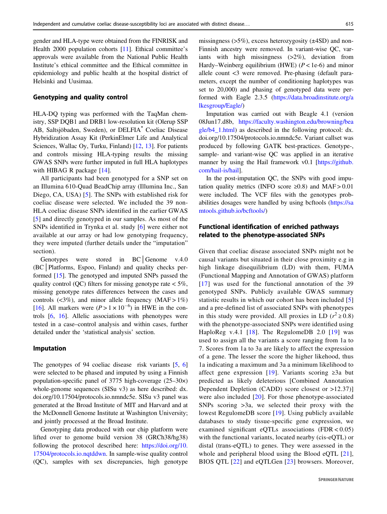gender and HLA-type were obtained from the FINRISK and Health 2000 population cohorts [11]. Ethical committee's approvals were available from the National Public Health Institute's ethical committee and the Ethical committee in epidemiology and public health at the hospital district of Helsinki and Uusimaa.

#### Genotyping and quality control

HLA-DQ typing was performed with the TaqMan chemistry, SSP DQB1 and DRB1 low-resolution kit (Olerup SSP AB, Saltsjöbaden, Sweden), or DELFIA® Coeliac Disease Hybridization Assay Kit (PerkinElmer Life and Analytical Sciences, Wallac Oy, Turku, Finland) [12, 13]. For patients and controls missing HLA-typing results the missing GWAS SNPs were further imputed in full HLA haplotypes with HIBAG R package [14].

All participants had been genotyped for a SNP set on an Illumina 610-Quad BeadChip array (Illumina Inc., San Diego, CA, USA) [5]. The SNPs with established risk for coeliac disease were selected. We included the 39 non-HLA coeliac disease SNPs identified in the earlier GWAS [5] and directly genotyped in our samples. As most of the SNPs identified in Trynka et al. study [6] were either not available at our array or had low genotyping frequency, they were imputed (further details under the "imputation" section).

Genotypes were stored in BC│Genome v.4.0 (BC│Platforms, Espoo, Finland) and quality checks performed [15]. The genotyped and imputed SNPs passed the quality control (QC) filters for missing genotype rate  $<$  5%, missing genotype rates differences between the cases and controls  $(\leq 3\%)$ , and minor allele frequency  $(MAF > 1\%)$ [16]. All markers were  $(P > 1 \times 10^{-6})$  in HWE in the controls [6, 16]. Allelic associations with phenotypes were tested in a case–control analysis and within cases, further detailed under the 'statistical analysis' section.

#### Imputation

The genotypes of 94 coeliac disease risk variants [5, 6] were selected to be phased and imputed by using a Finnish population-specific panel of 3775 high-coverage (25–30×) whole-genome sequences (SISu v3) as here described: dx. doi.org/10.17504/protocols.io.nmndc5e. SISu v3 panel was generated at the Broad Institute of MIT and Harvard and at the McDonnell Genome Institute at Washington University; and jointly processed at the Broad Institute.

Genotyping data produced with our chip platform were lifted over to genome build version 38 (GRCh38/hg38) following the protocol described here: [https://doi.org/10.](https://doi.org/10.17504/protocols.io.nqtddwn) [17504/protocols.io.nqtddwn.](https://doi.org/10.17504/protocols.io.nqtddwn) In sample-wise quality control (QC), samples with sex discrepancies, high genotype missingness  $(5\%)$ , excess heterozygosity  $(\pm 4SD)$  and non-Finnish ancestry were removed. In variant-wise QC, variants with high missingness (>2%), deviation from Hardy–Weinberg equilibrium (HWE)  $(P < 1e-6)$  and minor allele count <3 were removed. Pre-phasing (default parameters, except the number of conditioning haplotypes was set to 20,000) and phasing of genotyped data were performed with Eagle 2.3.5 ([https://data.broadinstitute.org/a](https://data.broadinstitute.org/alkesgroup/Eagle/) [lkesgroup/Eagle/](https://data.broadinstitute.org/alkesgroup/Eagle/))

Imputation was carried out with Beagle 4.1 (version 08Jun17.d8b, [https://faculty.washington.edu/browning/bea](https://faculty.washington.edu/browning/beagle/b4_1.html) [gle/b4\\_1.html](https://faculty.washington.edu/browning/beagle/b4_1.html)) as described in the following protocol: dx. doi.org/10.17504/protocols.io.nmndc5e. Variant callset was produced by following GATK best-practices. Genotype-, sample- and variant-wise QC was applied in an iterative manner by using the Hail framework v0.1 [\[https://github.](https://github.com/hail-is/hail) [com/hail-is/hail\]](https://github.com/hail-is/hail).

In the post-imputation QC, the SNPs with good imputation quality metrics (INFO score  $\geq 0.8$ ) and MAF > 0.01 were included. The VCF files with the genotypes probabilities dosages were handled by using bcftools ([https://sa](https://samtools.github.io/bcftools/) [mtools.github.io/bcftools/](https://samtools.github.io/bcftools/))

## Functional identification of enriched pathways related to the phenotype-associated SNPs

Given that coeliac disease associated SNPs might not be causal variants but situated in their close proximity e.g in high linkage disequilibrium (LD) with them, FUMA (Functional Mapping and Annotation of GWAS) platform [17] was used for the functional annotation of the 39 genotyped SNPs. Publicly available GWAS summary statistic results in which our cohort has been included [5] and a pre-defined list of associated SNPs with phenotypes in this study were provided. All proxies in LD ( $r^2 \ge 0.8$ ) with the phenotype-associated SNPs were identified using HaploReg v.4.1 [18]. The RegulomeDB 2.0 [19] was used to assign all the variants a score ranging from 1a to 7. Scores from 1a to 3a are likely to affect the expression of a gene. The lesser the score the higher likehood, thus 1a indicating a maximum and 3a a minimum likelihood to affect gene expression [19]. Variants scoring  $\geq 3a$  but predicted as likely deleterious [Combined Annotation Dependent Depletion (CADD) score closest or >12.37)] were also included [20]. For those phenotype-associated SNPs scoring >3a, we selected their proxy with the lowest RegulomeDB score [19]. Using publicly available databases to study tissue-specific gene expression, we examined significant eQTLs associations (FDR < 0.05) with the functional variants, located nearby (cis-eQTL) or distal (trans-eQTL) to genes. They were assessed in the whole and peripheral blood using the Blood eQTL [21], BIOS QTL [22] and eQTLGen [23] browsers. Moreover,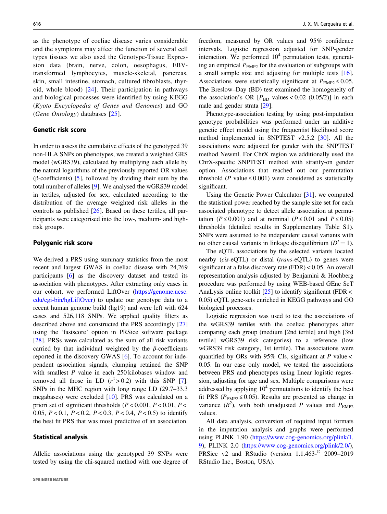as the phenotype of coeliac disease varies considerable and the symptoms may affect the function of several cell types tissues we also used the Genotype-Tissue Expression data (brain, nerve, colon, oesophagus, EBVtransformed lymphocytes, muscle-skeletal, pancreas, skin, small intestine, stomach, cultured fibroblasts, thyroid, whole blood) [24]. Their participation in pathways and biological processes were identified by using KEGG (Kyoto Encyclopedia of Genes and Genomes) and GO (Gene Ontology) databases [25].

#### Genetic risk score

In order to assess the cumulative effects of the genotyped 39 non-HLA SNPs on phenotypes, we created a weighted GRS model (wGRS39), calculated by multiplying each allele by the natural logarithms of the previously reported OR values (β-coefficients) [5], followed by dividing their sum by the total number of alleles [9]. We analysed the wGRS39 model in tertiles, adjusted for sex, calculated according to the distribution of the average weighted risk alleles in the controls as published [26]. Based on these tertiles, all participants were categorised into the low-, medium- and highrisk groups.

#### Polygenic risk score

We derived a PRS using summary statistics from the most recent and largest GWAS in coeliac disease with 24,269 participants [6] as the discovery dataset and tested its association with phenotypes. After extracting only cases in our cohort, we performed LiftOver ([https://genome.ucsc.](https://genome.ucsc.edu/cgi-bin/hgLiftOver) [edu/cgi-bin/hgLiftOver](https://genome.ucsc.edu/cgi-bin/hgLiftOver)) to update our genotype data to a recent human genome build (hg19) and were left with 624 cases and 526,118 SNPs. We applied quality filters as described above and constructed the PRS accordingly [27] using the 'fastscore' option in PRSice software package [28]. PRSs were calculated as the sum of all risk variants carried by that individual weighted by the  $\beta$ -coefficients reported in the discovery GWAS [6]. To account for independent association signals, clumping retained the SNP with smallest  $P$  value in each 250 kilobases window and removed all those in LD  $(r^2 > 0.2)$  with this SNP [7]. SNPs in the MHC region with long range LD (29.7–33.3 megabases) were excluded [10]. PRS was calculated on a priori set of significant thresholds ( $P < 0.001$ ,  $P < 0.01$ ,  $P <$ 0.05,  $P < 0.1$ ,  $P < 0.2$ ,  $P < 0.3$ ,  $P < 0.4$ ,  $P < 0.5$ ) to identify the best fit PRS that was most predictive of an association.

#### Statistical analysis

Allelic associations using the genotyped 39 SNPs were tested by using the chi-squared method with one degree of freedom, measured by OR values and 95% confidence intervals. Logistic regression adjusted for SNP-gender interaction. We performed  $10<sup>4</sup>$  permutation tests, generating an empirical  $P_{\text{EMP2}}$  for the evaluation of subgroups with a small sample size and adjusting for multiple tests [16]. Associations were statistically significant at  $P_{\text{EMP2}} \leq 0.05$ . The Breslow–Day (BD) test examined the homogeneity of the association's OR  $[P_{BD}$  values < 0.02 (0.05/2)] in each male and gender strata [29].

Phenotype-association testing by using post-imputation genotype probabilities was performed under an additive genetic effect model using the frequentist likelihood score method implemented in SNPTEST v2.5.2 [30]. All the associations were adjusted for gender with the SNPTEST method Newml. For ChrX region we additionally used the ChrX-specific SNPTEST method with stratify-on gender option. Associations that reached out our permutation threshold (P value  $\leq 0.001$ ) were considered as statistically significant.

Using the Genetic Power Calculator [31], we computed the statistical power reached by the sample size set for each associated phenotype to detect allele association at permutation ( $P \le 0.001$ ) and at nominal ( $P \le 0.01$  and  $P \le 0.05$ ) thresholds (detailed results in Supplementary Table S1). SNPs were assumed to be independent causal variants with no other causal variants in linkage disequilibrium  $(D' = 1)$ .

The eQTL associations by the selected variants located nearby (cis-eQTL) or distal (trans-eQTL) to genes were significant at a false discovery rate (FDR) < 0.05. An overall representation analysis adjusted by Benjamini & Hochberg procedure was performed by using WEB-based GEne SeT AnaLysis online toolkit  $[25]$  to identify significant (FDR < 0.05) eQTL gene-sets enriched in KEGG pathways and GO biological processes.

Logistic regression was used to test the associations of the wGRS39 tertiles with the coeliac phenotypes after comparing each group (medium [2nd tertile] and high [3rd tertile] wGRS39 risk categories) to a reference (low wGRS39 risk category, 1st tertile). The associations were quantified by ORs with 95% CIs, significant at  $P$  value < 0.05. In our case only model, we tested the associations between PRS and phenotypes using linear logistic regression, adjusting for age and sex. Multiple comparisons were addressed by applying  $10<sup>4</sup>$  permutations to identify the best fit PRS ( $P_{EMP2} \le 0.05$ ). Results are presented as change in variance  $(R^2)$ , with both unadjusted P values and  $P_{EMP2}$ values.

All data analysis, conversion of required input formats in the imputation analysis and graphs were performed using PLINK 1.90 [\(https://www.cog-genomics.org/plink/1.](https://www.cog-genomics.org/plink/1.9) [9](https://www.cog-genomics.org/plink/1.9)), PLINK 2.0 ([https://www.cog-genomics.org/plink/2.0/\)](https://www.cog-genomics.org/plink/2.0/), PRSice v2 and RStudio (version 1.1.463-© 2009–2019 RStudio Inc., Boston, USA).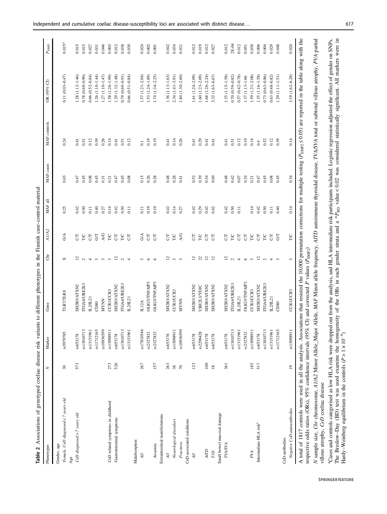| Phenotypes                                      | z               | Marker     | Gene                 | ð                                | A1/A2           | MAF all | MAF cases | MAF controls   | $\Theta$<br>OR $(95\%$ | $P_{\rm EMP2}$ |
|-------------------------------------------------|-----------------|------------|----------------------|----------------------------------|-----------------|---------|-----------|----------------|------------------------|----------------|
| Gender, age                                     |                 |            |                      |                                  |                 |         |           |                |                        |                |
| Female, CeD diagnosed $\leq$ 7 years old<br>Age | 30              | rs5979785  | <b>TLR7/TLR8</b>     | ×                                | ${\rm G/A}$     | 0.25    | 0.03      | 0.24           | $0.11(0.03 - 0.47)$    | $0.015*$       |
| CeD diagnosed > 7 years old                     | 573             | rs653178   | SH2B3/ATXN2          |                                  | 5               | 0.42    | 0.47      | 0.41           | 1.28 (1.12-1.46)       | 0.015          |
|                                                 |                 | rs13010713 | ITGA4/UBE2E3         |                                  | $\sum$          | 0.50    | 0.45      | 0.51           | $0.78(0.69 - 0.90)$    | 0.015          |
|                                                 |                 | rs13151961 | L2/L21               |                                  | $5\overline{5}$ | 0.11    | 0.08      | 0.12           | $0.66(0.52 - 0.84)$    | 0.027          |
|                                                 |                 | rs11712165 | CD80                 |                                  | 5               | 0.40    | 0.45      | 0.39           | 1.26 (1.10-1.44)       | 0.031          |
|                                                 |                 | rs10936599 | <b>MYNN</b>          |                                  | <b>A/G</b>      | 0.27    | 0.31      | 0.26           | 1.27 (1.10-1.47)       | 0.046          |
| CeD related symptoms in childhood               | 273             | rs13098911 | CCR1/CCR3            |                                  | ГC              | 0.14    | 0.21      | 0.14           | 1.58 (1.26-1.99)       | 0.003          |
| Gastrointestinal symptoms                       | 526             | rs653178   | SH2B3/ATXN2          |                                  | $5\overline{5}$ | 0.42    | 0.47      | 0.41           | $1.29(1.12 - 1.48)$    | 0.012          |
|                                                 |                 | rs13010713 | ITGA4/UBE2E?         | $1$ a $4$ m m m $1$ a $4$        | $E_{\text{C}}$  | 0.50    | 0.45      | 0.51           | $0.79(0.69 - 0.91)$    | 0.038          |
|                                                 |                 | rs13151961 | L2/L21               |                                  |                 | 0.11    | 0.08      | 0.12           | $0.66(0.51 - 0.84)$    | 0.030          |
| Malabsorption                                   |                 |            |                      |                                  |                 |         |           |                |                        |                |
| $\ddot{H}$                                      | 267             | rs17810546 | ILI2A                |                                  | $\Im$           | 0.11    | 0.15      | $\overline{0}$ | $1.57(1.21 - 2.04)$    | 0.024          |
|                                                 |                 | rs2327832  | <b>OLIG3/TNFAIP3</b> | $\frac{3}{2}$                    | $5\overline{5}$ | 0.19    | 0.26      | 0.19           | $1.53(1.24-1.89)$      | 0.002          |
| Anaemia                                         | 157             | rs2327832  | <b>OLIG3/TNFAIP3</b> | $\circ$                          | $5\overline{5}$ | 0.19    | 0.28      | 0.19           | $1.74(1.34 - 2.25)$    | 0.001          |
| Extraintestinal manifestations                  |                 |            |                      |                                  |                 |         |           |                |                        |                |
| $\overline{H}$                                  | 263             | rs653178   | SH2B3/ATXN2          |                                  | 5               | 0.42    | 0.48      | 0.41           | $1.36(1.13 - 1.63)$    | 0.042          |
| Neurological disorders                          | $\frac{38}{70}$ | rs13098911 | CCR1/CCR3            | $2\,$ നന                         | E               | 0.14    | 0.28      | 0.14           | 2.34 (1.41-3.91)       | 0.034          |
| Fractures                                       |                 | rs10936599 | <b>MYNN</b>          |                                  | A/G             | 0.27    | 0.41      | 0.26           | 1.84 (1.30-2.60)       | 0.021          |
| CeD-associated conditions                       |                 |            |                      |                                  |                 |         |           |                |                        |                |
| $\overline{A}l$                                 | 123             | rs653178   | SH2B3/ATXN2          | 7                                | 5               | 0.42    | 0.52      | 0.41           | 1.61 $(1.24 - 2.09)$   | 0.012          |
|                                                 |                 | rs2298428  | <b>UBE2L3YDJC</b>    | 21 21 21                         | $_{\rm 50}$     | 0.29    | 0.39      | 0.29           | $1.60(1.23 - 2.09)$    | 0.019          |
| <b>ATD</b>                                      | 100             | rs653178   | SH2B3/ATXN2          |                                  | $5\overline{5}$ | 0.42    | 0.54      | 0.41           | 1.68 (1.26-2.24)       | 0.012          |
| $_{\rm 7D}$                                     | $18$            | rs653178   | SH2B3/ATXN2          |                                  | $5\overline{5}$ | 0.42    | 0.69      | 0.41           | 3.32 (1.63-6.67)       | 0.027          |
| Small bowel mucosal damage                      |                 |            |                      |                                  |                 |         |           |                |                        |                |
| <b>TVASVA</b>                                   | 361             | rs653178   | SH2B3/ATXN2          |                                  | 5               | 0.42    | 0.48      | 0.41           | $1.35(1.15-1.58)$      | 0.012          |
|                                                 |                 | rs13010713 | ITGA4/UBE2E3         |                                  | $E_{\rm g}$     | 0.50    | 0.42      | 0.51           | $0.70(0.59 - 0.82)$    | $2E-04$        |
|                                                 |                 | rs13151961 | L2/L21               |                                  |                 | 0.11    | 0.07      | 0.12           | 0.57 (0.42-0.78)       | 0.012          |
|                                                 |                 | rs2327832  | <b>OLIG3/TNFAIP3</b> | $2 \alpha + 6 \alpha$ $2 \alpha$ | $5\overline{5}$ |         | 0.24      | 0.19           | 1.37 (1.13-1.66        | 0.051          |
| PVA                                             | 185             | rs13098911 | CCR1/CCR3            |                                  | $_{\rm TC}$     | 0.14    | 0.21      | 0.14           | $1.59(1.21 - 2.08)$    | 0.030          |
| Intermediate HLA risk <sup>a</sup>              | 517             | rs653178   | SH2B3/ATXN2          |                                  | $5\,$           | 0.42    | 0.47      | 0.4            | $1.35(1.16-1.58)$      | 0.006          |
|                                                 |                 | rs13010713 | ITGA4/UBE2E3         |                                  | E               | 0.50    | 0.45      | 0.52           | $0.73(0.63 - 0.86)$    | 0.004          |
|                                                 |                 | rs13151961 | L2/IL21              | $\frac{4}{3}$ $\frac{6}{3}$      | $5\overline{5}$ | 0.11    | 0.08      | 0.12           | $0.63(0.48 - 0.82)$    | 0.029          |
|                                                 |                 | rs11712165 | CD80                 |                                  | 5               | 0.40    | 0.45      | 0.39           | $1.29(1.11 - 1.51)$    | 0.048          |
| CeD-antibodies                                  |                 |            |                      |                                  |                 |         |           |                |                        |                |
| Negative CeD-autoantbodies                      | $\overline{19}$ | rs13098911 | CCR1/CCR3            | 3                                | TIC             | 0.14    | 0.34      | 0.14           | 3.19 (1.62-6.28)       | 0.020          |

tal villous atrophy, PVA partial N sample size, Chr chromosome, A1/A2 Minor Allele\_Major Allele, MAF Minor allele frequency, AITD autoimmune thyroidal disease, TVA/SVA total or subtotal villous atrophy, PVA partial 5 lotal autommune thyroidal *N* sample size, *Chr* chromosome, *A1/A2* Minor Allele\_Major Allele, *MAF* Minor allele frequency, *AITD*<br>villous atrophy, *CeD* coeliac disease villous atrophy, CeD coeliac disease

aCases and controls categorised as low HLA risk were dropped out from the analysis, and HLA intermediate risk participants included. Logistic regression adjusted the effect of gender on SNPs. The Breslow–Day (BD) test was used examine the homogeneity of the ORs in each gender strata and a \*  $P_{\text{BD}}$  value < 0.02 was considered statistically significant. All markers were in Hardy–Weinberg equilibrium in the controls (  $P > 1 \times 10^{-6}$  $\widehat{\phantom{a}}$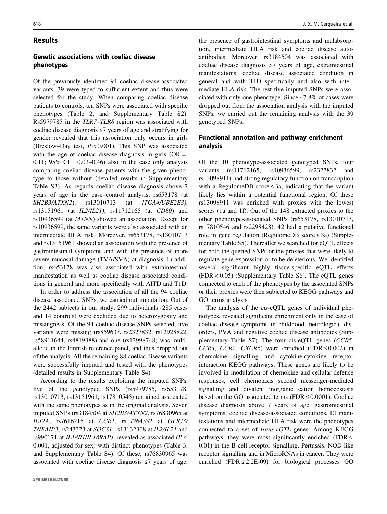#### **Results**

## Genetic associations with coeliac disease phenotypes

Of the previously identified 94 coeliac disease-associated variants, 39 were typed to sufficient extent and thus were selected for the study. When comparing coeliac disease patients to controls, ten SNPs were associated with specific phenotypes (Table 2, and Supplementary Table S2). Rs5979785 in the TLR7–TLR8 region was associated with coeliac disease diagnosis ≤7 years of age and stratifying for gender revealed that this association only occurs in girls (Breslow–Day test,  $P < 0.001$ ). This SNP was associated with the age of coeliac disease diagnosis in girls  $(OR =$ 0.11; 95%  $CI = 0.03-0.46$  also in the case only analysis comparing coeliac disease patients with the given phenotype to those without (detailed results in Supplementary Table S3). As regards coeliac disease diagnosis above 7 years of age in the case–control analysis, rs653178 (at SH2B3/ATXN2), rs13010713 (at ITGA4/UBE2E3), rs13151961 (at IL2/IL21), rs11712165 (at CD80) and rs10936599 (at MYNN) showed an association. Except for rs10936599, the same variants were also associated with an intermediate HLA risk. Moreover, rs653178, rs13010713 and rs13151961 showed an association with the presence of gastrointestinal symptoms and with the presence of more severe mucosal damage (TVA/SVA) at diagnosis. In addition, rs653178 was also associated with extraintestinal manifestation as well as coeliac disease associated conditions in general and more specifically with AITD and T1D.

In order to address the association of all the 94 coeliac disease associated SNPs, we carried out imputation. Out of the 2442 subjects in our study, 299 individuals (285 cases and 14 controls) were excluded due to heterozygosity and missingness. Of the 94 coeliac disease SNPs selected, five variants were missing (rs859637, rs2327832, rs12928822, rs58911644, rs4819388) and one (rs12998748) was multiallelic in the Finnish reference panel, and thus dropped out of the analysis. All the remaining 88 coeliac disease variants were successfully imputed and tested with the phenotypes (detailed results in Supplementary Table S4).

According to the results exploiting the imputed SNPs, five of the genotyped SNPs (rs5979785, rs653178, rs13010713, rs13151961, rs17810546) remained associated with the same phenotypes as in the original analysis. Seven imputed SNPs (rs3184504 at SH2B3/ATXN2, rs76830965 at IL12A, rs7616215 at CCR1, rs17264332 at OLIG3/ TNFAIP3, rs243323 at SOCS1, rs13132308 at IL2/IL21 and rs990171 at IL18R1/IL18RAP), revealed as associated ( $P \leq$ 0.001, adjusted for sex) with distinct phenotypes (Table 3, and Supplementary Table S4). Of these, rs76830965 was associated with coeliac disease diagnosis ≤7 years of age,

the presence of gastrointestinal symptoms and malabsorption, intermediate HLA risk and coeliac disease autoantibodies. Moreover, rs3184504 was associated with coeliac disease diagnosis >7 years of age, extraintestinal manifestations, coeliac disease associated condition in general and with T1D specifically and also with intermediate HLA risk. The rest five imputed SNPs were associated with only one phenotype. Since 47.8% of cases were dropped out from the association analysis with the imputed SNPs, we carried out the remaining analysis with the 39 genotyped SNPs.

### Functional annotation and pathway enrichment analysis

Of the 10 phenotype-associated genotyped SNPs, four variants (rs11712165, rs10936599, rs2327832 and rs13098911) had strong regulatory function on transcription with a RegulomeDB score  $\leq 3a$ , indicating that the variant likely lies within a potential functional region. Of these rs13098911 was enriched with proxies with the lowest scores (1a and 1f). Out of the 148 extracted proxies to the other phenotype-associated SNPs (rs653178, rs13010713, rs17810546 and rs2298428), 42 had a putative functional role in gene regulation (RegulomeDB score ≤ 3a) (Supplementary Table S5). Thereafter we searched for eQTL effects for both the queried SNPs or the proxies that were likely to regulate gene expression or to be deleterious. We identified several significant highly tissue-specific eQTL effects (FDR < 0.05) (Supplementary Table S6). The eQTL genes connected to each of the phenotypes by the associated SNPs or their proxies were then subjected to KEGG pathways and GO terms analysis.

The analysis of the cis-eQTL genes of individual phenotypes, revealed significant enrichment only in the case of coeliac disease symptoms in childhood, neurological disorders, PVA and negative coeliac disease antibodies (Supplementary Table S7). The four cis-eQTL genes (CCR5, CCR3, CCR2, CXCR6) were enriched (FDR  $\leq 0.002$ ) in chemokine signalling and cytokine-cytokine receptor interaction KEGG pathways. These genes are likely to be involved in modulation of chemokine and cellular defence responses, cell chemotaxis second messenger-mediated signalling and divalent inorganic cation homoeostasis based on the GO associated terms (FDR  $\leq 0.0001$ ). Coeliac disease diagnosis above 7 years of age, gastrointestinal symptoms, coeliac disease-associated conditions, EI manifestations and intermediate HLA risk were the phenotypes connected to a set of trans-eQTL genes. Among KEGG pathways, they were most significantly enriched (FDR  $\leq$ 0.01) in the B cell receptor signalling, Pertussis, NOD-like receptor signalling and in MicroRNAs in cancer. They were enriched (FDR  $\leq$  2.2E-09) for biological processes GO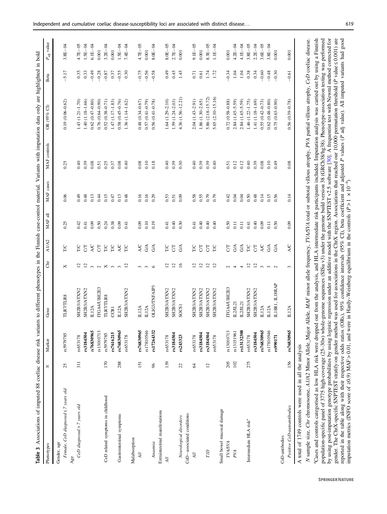| Table 3 Associations of imputed 88 coeliac disease risk variants to different phenotypes in the Finnish case-control material. Variants with imputation data only are highlighted in bold |                |            |                 |                            |                 |                    |           |              |                         |         |                        |
|-------------------------------------------------------------------------------------------------------------------------------------------------------------------------------------------|----------------|------------|-----------------|----------------------------|-----------------|--------------------|-----------|--------------|-------------------------|---------|------------------------|
| Phenotypes                                                                                                                                                                                | z              | Marker     | Gene            | ā                          | A1/A2           | MAF all            | MAF cases | MAF controls | OR (95% CI)             | Beta    | $P_{\text{adj}}$ value |
| Female, CeD diagnosed $\leq$ 7 years old<br>Gender, age                                                                                                                                   | 25             | rs5979785  | <b>TLR7TLR8</b> | ×                          | TIC             | 0.25               | 0.06      | 0.25         | $0.19(0.06 - 0.62)$     | 5.17    | $3.8E - 04$            |
| CeD diagnosed > 7 years old<br>Age                                                                                                                                                        | 311            | rs653178   | SH2B3/ATXN2     | 5                          | <b>DAL</b>      | 0.42               | 64.0      | 0.40         | 1.43 (1.21-1.70)        | 0.35    | $4.7E-05$              |
|                                                                                                                                                                                           |                | rs3184504  | SH2B3/ATXN2     | $\overline{5}$             | 5               | 0.41               | 0.48      | 0.39         | 1.40 (1.18-1.66)        | 0.33    | $LSE-04$               |
|                                                                                                                                                                                           |                | rs76830965 | <b>IL12A</b>    | $m \alpha \times m \alpha$ | 5K              | 0.09               | 0.13      | 0.08         | $0.62(0.47 - 0.80)$     | $-0.49$ | $6.1E - 04$            |
|                                                                                                                                                                                           |                | rs13010713 | TGA4/UBE2E3     |                            | $5\sigma$       | 0.50               | 0.44      | 0.51         | $0.76(0.64 - 0.90)$     | $-0.28$ | 0.001                  |
| CeD related symptoms in childhood                                                                                                                                                         | 170            | rs5979785  | <b>TLR7TLR8</b> |                            | <b>DAL</b>      | 0.24               | 0.15      | 0.25         | $(0.38 - 0.71)$<br>0.52 | $-0.87$ | $3.2E - 04$            |
|                                                                                                                                                                                           |                | rs7616215  | <b>CCRI</b>     |                            | <b>DAL</b>      | 0.38               | 0.47      | 0.37         | 1.47 (1.17-1.83)        | 0.37    | 0.001                  |
| Gastrointestinal symptoms                                                                                                                                                                 | 288            | rs76830965 | <b>IL12A</b>    |                            | <b>A/C</b>      | 0.09               | 0.13      | 0.08         | $0.58(0.45 - 0.76)$     | $-0.55$ | $1.5E - 04$            |
|                                                                                                                                                                                           |                | rs653178   | SH2B3/ATXN2     |                            | E               | 0.41               | 0.48      | 0.40         | 1.36 (1.14-1.62)        | 0.30    | $7.4E - 04$            |
| Malabsorption                                                                                                                                                                             |                |            |                 |                            |                 |                    |           |              |                         |         |                        |
| $\mathcal{H}$                                                                                                                                                                             | 151            | rs76830965 | <b>IL12A</b>    |                            | <b>A/C</b>      | 0.09               | 0.16      | 0.08         | 0.48 (0.34-0.67)        | $-0.75$ | $4.7E-05$              |
|                                                                                                                                                                                           |                | rs17810546 | IL12A           | ო ო დ                      | G/A             | 0.10               | 0.16      | 0.10         | 0.57 (0.41-0.79)        | $-0.56$ | 0.001                  |
| Anaemia                                                                                                                                                                                   | 96             | rs17264332 | OLIG3/TNFAIP3   |                            | $G^A$           | 0.19               | 0.29      | 0.18         | $0.56(0.41 - 0.78)$     | $-0.58$ | $8.0E - 04$            |
| Extraintestinal manifestations                                                                                                                                                            |                |            |                 |                            |                 |                    |           |              |                         |         |                        |
| All                                                                                                                                                                                       | 139            | rs653178   | SH2B3/ATXN2     | $\overline{5}$             | <b>D</b>        | 0.41               | 0.53      | 0.40         | 1.64 (1.29-2.10)        | 64.0    | $8.0E - 0.5$           |
|                                                                                                                                                                                           |                | rs3184504  | SH2B3/ATXN2     | $\frac{2}{16}$             | $5\overline{a}$ | 0.40               | 0.51      | 0.39         | 1.59 (1.24-2.03)        | 0.45    | $2.7E - 04$            |
| Neurological disorders                                                                                                                                                                    | 22             | rs243323   | SOCS1           |                            | G/A             | 0.30               | 0.09      | 0.30         | 4.36 (1.56-12.21)       | 1.45    | 0.001                  |
| CeD-associated conditions                                                                                                                                                                 |                |            |                 |                            |                 |                    |           |              |                         |         |                        |
| $\mathcal{A}ll$                                                                                                                                                                           | 64             | rs653178   | SH2B3/ATXN2     | 5                          | <b>TIC</b>      | 0.41               | 0.58      | 0.40         | $2.04(1.43 - 2.91)$     | 0.71    | $-05$<br>$9.1E-$       |
|                                                                                                                                                                                           |                | rs3184504  | SH2B3/ATXN2     |                            | 5               | 0.40               | 0.55      | 0.39         | 1.86 (1.30-2.65)        | 0.61    | 0.001                  |
| TID                                                                                                                                                                                       | $\overline{c}$ | rs3184504  | SH2B3/ATXN2     | 222                        | 58              | 0.40               | 0.79      | 0.39         | 5.86 (2.18-15.72)       | 1.74    | $8.3E - 05$            |
|                                                                                                                                                                                           |                | rs653178   | SH2B3/ATXN2     |                            |                 | 0.40               | 0.79      | 0.40         | 5.65 (2.10-15.16)       | 1.72    | $1.1E - 04$            |
| Small bowel mucosal damage                                                                                                                                                                |                |            |                 |                            |                 |                    |           |              |                         |         |                        |
| TVA/SVA                                                                                                                                                                                   | 205            | rs13010713 | ITGA4/UBE2E3    |                            | 5               | 0.50               | 0.42      | 0.51         | $0.72(0.58 - 0.88)$     | $-0.34$ | 0.001                  |
| PVA                                                                                                                                                                                       | 102            | rs13151961 | L2/IL2          | 04.4.4                     | $\Im$           | $\overline{0}$ .   | 0.04      | 0.12         | $2.84(1.45 - 5.59)$     | 1.04    | $4.2E - 04$            |
|                                                                                                                                                                                           |                | rs13132308 | L2/IL2          |                            | $G\mathbb{A}$   | $\overline{0}$     | 0.04      | 0.12         | $2.84(1.45 - 5.59)$     | 1.04    | $4.1E - 04$            |
| Intermediate HLA risk <sup>a</sup>                                                                                                                                                        | 275            | rs653178   | SH2B3/ATXN2     | $\frac{2}{2}$              | $\frac{1}{2}$   | 0.41               | 0.50      | 0.40         | 1.46 (1.22-1.75)        | 0.38    | $3.8E - 05$            |
|                                                                                                                                                                                           |                | rs3184504  | SH2B3/ATXN2     |                            |                 | 0.40               | 0.48      | 0.39         | 1.41 (1.18-1.69)        | 0.34    | $2.2E - 04$            |
|                                                                                                                                                                                           |                | rs76830965 | <b>IL12A</b>    |                            | <b>A/C</b>      | 0.09               | 0.14      | 0.08         | $0.55(0.42 - 0.73)$     | $-0.60$ | $3.6E - 05$            |
|                                                                                                                                                                                           |                | rs17810546 | <b>IL12A</b>    | $m, m, \alpha$             | $\Im$           | $\overline{0}$ .11 | 0.15      | 0.10         | $(0.48 - 0.80)$<br>0.62 | $-0.48$ | $3.8E - 04$            |
|                                                                                                                                                                                           |                | rs990171   | LISRI, LISRAP   |                            | $G^A$           | 0.50               | 0.56      | 0.49         | $(0.63 - 0.90)$<br>0.75 | $-0.30$ | 0.001                  |
| CeD-antibodies                                                                                                                                                                            |                |            |                 |                            |                 |                    |           |              |                         |         |                        |
| Positive CeD-autoantibodies                                                                                                                                                               | 156            | rs76830965 | IL12A           | 3                          | <b>A/C</b>      | 0.09               | 0.14      | 0.08         | $0.56(0.39 - 0.78)$     | $-0.61$ | 0.001                  |
| A total of 1749 controls were used in all the analysis                                                                                                                                    |                |            |                 |                            |                 |                    |           |              |                         |         |                        |

A total of 1749 controls were used in all the analysis used in all the analysis were  $_{\rm counts}$ A total or  $1/49$ 

N sample size, Chr chromosome, A1/A2 Minor Allele\_Major Allele, MAF minor allele frequency, TVA/SVA total or subtotal villous atrophy, PVA partial villous atrophy, CeD coeliac disease. <sup>4</sup>Cases and controls categorised as low HLA risk were dropped out from the analysis, and HLA intermediate risk participants included. Imputation analysis was carried out by using a Finnish population-specific panel of 3775 high-coverage (25-30x) whole-genome sequences (SISu v3) under the genome build version 38 (GRCh38/hg38). Phenotype-association testing was performed by using post-imputation genotype probabilities by using logistic regression under an additive model with the SNPTEST v2.5 software [30]. A frequentist test with Newml method corrected for gender. The ChrX-specific SNPTEST stratify-on gender method was used for associations in the ChrX region. Associations that reached our 10,000 permutation threshold (P value ≤ 0.001) are reported in the table along with their respective odds ratios (ORs), 95% confidence intervals (95% CD, beta coefficient and adjusted P values (P adj value). All imputed variants had good N sample size, Chr chromosome, A1/A2 Minor Allele\_Major Allele, MAF minor allele frequency, TVA/SVA total or subtotal villous atrophy, PVA partial villous atrophy, CeD coeliac disease. aCases and controls categorised as low HLA risk were dropped out from the analysis, and HLA intermediate risk participants included. Imputation analysis was carried out by using a Finnish population-specific panel of 3775 high-coverage (25–30×) whole-genome sequences (SISu v3) under the genome build version 38 (GRCh38/hg38). Phenotype-association testing was performed by using post-imputation genotype probabilities by using logistic regression under an additive model with the SNPTEST v2.5 software [30]. A frequentist test with Newml method corrected for P value  $\leq 0.001$ ) are P adj value). All imputed variants had good gender. The ChrX-specific SNPTEST stratify-on gender method was used for associations in the ChrX region. Associations that reached our 10,000 permutation threshold ( reported in the table along with their respective odds ratios (ORs), 95% confidence intervals (95% CI), beta coefficient and adjusted  $\widehat{\phantom{1}}$  $P > 1 \times 10^{-6}$ imputation metrics (INFO score of ≥0.9) MAF > 0.01, and were in Hardy–Weinberg equilibrium in the controls (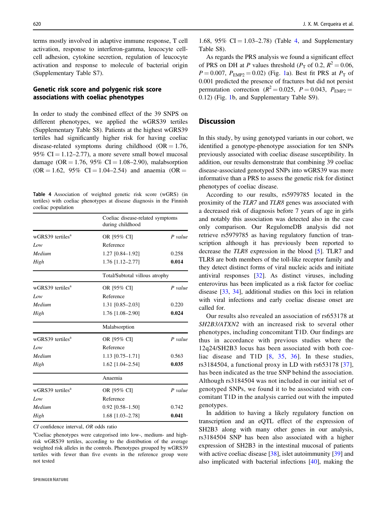terms mostly involved in adaptive immune response, T cell activation, response to interferon-gamma, leucocyte cellcell adhesion, cytokine secretion, regulation of leucocyte activation and response to molecule of bacterial origin (Supplementary Table S7).

## Genetic risk score and polygenic risk score associations with coeliac phenotypes

In order to study the combined effect of the 39 SNPS on different phenotypes, we applied the wGRS39 tertiles (Supplementary Table S8). Patients at the highest wGRS39 tertiles had significantly higher risk for having coeliac disease-related symptoms during childhood  $(OR = 1.76,$ 95%  $CI = 1.12 - 2.77$ , a more severe small bowel mucosal damage (OR = 1.76, 95% CI = 1.08–2.90), malabsorption  $(OR = 1.62, 95\% \text{ CI} = 1.04 - 2.54)$  and anaemia  $(OR = 1.62, 95\% \text{ CI} = 1.04 - 2.54)$ 

Table 4 Association of weighted genetic risk score (wGRS) (in tertiles) with coeliac phenotypes at disease diagnosis in the Finnish coeliac population

|                              | Coeliac disease-related symptoms<br>during childhood |           |  |
|------------------------------|------------------------------------------------------|-----------|--|
| wGRS39 tertiles <sup>a</sup> | OR [95% CI]                                          | $P$ value |  |
| Low                          | Reference                                            |           |  |
| Medium                       | 1.27 [0.84-1.92]                                     | 0.258     |  |
| High                         | 1.76 [1.12-2.77]                                     | 0.014     |  |
|                              | Total/Subtotal villous atrophy                       |           |  |
| wGRS39 tertiles <sup>a</sup> | OR [95% CI]                                          | $P$ value |  |
| Low                          | Reference                                            |           |  |
| Medium                       | 1.31 [0.85-2.03]                                     | 0.220     |  |
| High                         | 1.76 [1.08-2.90]                                     | 0.024     |  |
|                              | Malabsorption                                        |           |  |
| wGRS39 tertiles <sup>a</sup> | OR [95% CI]                                          | $P$ value |  |
| Low                          | Reference                                            |           |  |
| Medium                       | $1.13$ [0.75-1.71]                                   | 0.563     |  |
| High                         | 1.62 [1.04-2.54]                                     | 0.035     |  |
|                              | Anaemia                                              |           |  |
| wGRS39 tertiles <sup>a</sup> | OR [95% CI]                                          | $P$ value |  |
| Low                          | Reference                                            |           |  |
| Medium                       | $0.92$ [0.58-1.50]                                   | 0.742     |  |
| High                         | 1.68 [1.03-2.78]                                     | 0.041     |  |

CI confidence interval, OR odds ratio

a Coeliac phenotypes were categorised into low-, medium- and highrisk wGRS39 tertiles, according to the distribution of the average weighted risk alleles in the controls. Phenotypes grouped by wGRS39 tertiles with fewer than five events in the reference group were not tested

1.68, 95% CI =  $1.03-2.78$ ) (Table 4, and Supplementary Table S8).

As regards the PRS analysis we found a significant effect of PRS on DH at P values threshold ( $P<sub>T</sub>$  of 0.2,  $R<sup>2</sup> = 0.06$ ,  $P = 0.007$ ,  $P_{\text{EMP2}} = 0.02$ ) (Fig. 1a). Best fit PRS at  $P_{\text{T}}$  of 0.001 predicted the presence of fractures but did not persist permutation correction ( $R^2 = 0.025$ ,  $P = 0.043$ ,  $P_{EMP2} =$ 0.12) (Fig. 1b, and Supplementary Table S9).

## **Discussion**

In this study, by using genotyped variants in our cohort, we identified a genotype-phenotype association for ten SNPs previously associated with coeliac disease susceptibility. In addition, our results demonstrate that combining 39 coeliac disease-associated genotyped SNPs into wGRS39 was more informative than a PRS to assess the genetic risk for distinct phenotypes of coeliac disease.

According to our results, rs5979785 located in the proximity of the TLR7 and TLR8 genes was associated with a decreased risk of diagnosis before 7 years of age in girls and notably this association was detected also in the case only comparison. Our RegulomeDB analysis did not retrieve rs5979785 as having regulatory function of transcription although it has previously been reported to decrease the TLR8 expression in the blood [5]. TLR7 and TLR8 are both members of the toll-like receptor family and they detect distinct forms of viral nucleic acids and initiate antiviral responses [32]. As distinct viruses, including enterovirus has been implicated as a risk factor for coeliac disease [33, 34], additional studies on this loci in relation with viral infections and early coeliac disease onset are called for.

Our results also revealed an association of rs653178 at SH2B3/ATXN2 with an increased risk to several other phenotypes, including concomitant T1D. Our findings are thus in accordance with previous studies where the 12q24/SH2B3 locus has been associated with both coeliac disease and T1D [8, 35, 36]. In these studies, rs3184504, a functional proxy in LD with rs653178 [37], has been indicated as the true SNP behind the association. Although rs3184504 was not included in our initial set of genotyped SNPs, we found it to be associated with concomitant T1D in the analysis carried out with the imputed genotypes.

In addition to having a likely regulatory function on transcription and an eQTL effect of the expression of SH2B3 along with many other genes in our analysis, rs3184504 SNP has been also associated with a higher expression of SH2B3 in the intestinal mucosal of patients with active coeliac disease [38], islet autoimmunity [39] and also implicated with bacterial infections [40], making the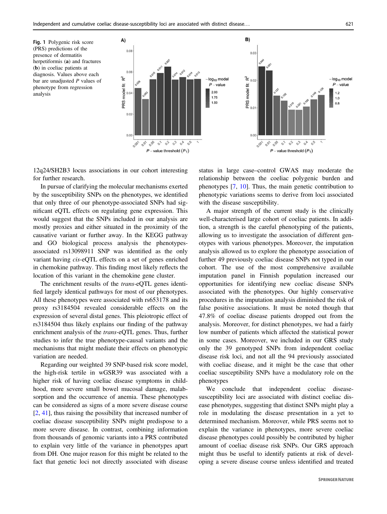Fig. 1 Polygenic risk score (PRS) predictions of the presence of dermatitis herpetiformis (a) and fractures (b) in coeliac patients at diagnosis. Values above each bar are unadjusted  $P$  values of phenotype from regression analysis



12q24/SH2B3 locus associations in our cohort interesting for further research.

In pursue of clarifying the molecular mechanisms exerted by the susceptibility SNPs on the phenotypes, we identified that only three of our phenotype-associated SNPs had significant eQTL effects on regulating gene expression. This would suggest that the SNPs included in our analysis are mostly proxies and either situated in the proximity of the causative variant or further away. In the KEGG pathway and GO biological process analysis the phenotypesassociated rs13098911 SNP was identified as the only variant having cis-eQTL effects on a set of genes enriched in chemokine pathway. This finding most likely reflects the location of this variant in the chemokine gene cluster.

The enrichment results of the trans-eQTL genes identified largely identical pathways for most of our phenotypes. All these phenotypes were associated with rs653178 and its proxy rs3184504 revealed considerable effects on the expression of several distal genes. This pleiotropic effect of rs3184504 thus likely explains our finding of the pathway enrichment analysis of the trans-eQTL genes. Thus, further studies to infer the true phenotype-causal variants and the mechanisms that might mediate their effects on phenotypic variation are needed.

Regarding our weighted 39 SNP-based risk score model, the high-risk tertile in wGSR39 was associated with a higher risk of having coeliac disease symptoms in childhood, more severe small bowel mucosal damage, malabsorption and the occurrence of anemia. These phenotypes can be considered as signs of a more severe disease course [2, 41], thus raising the possibility that increased number of coeliac disease susceptibility SNPs might predispose to a more severe disease. In contrast, combining information from thousands of genomic variants into a PRS contributed to explain very little of the variance in phenotypes apart from DH. One major reason for this might be related to the fact that genetic loci not directly associated with disease

status in large case–control GWAS may moderate the relationship between the coeliac polygenic burden and phenotypes [7, 10]. Thus, the main genetic contribution to phenotypic variations seems to derive from loci associated with the disease susceptibility.

A major strength of the current study is the clinically well-characterised large cohort of coeliac patients. In addition, a strength is the careful phenotyping of the patients, allowing us to investigate the association of different genotypes with various phenotypes. Moreover, the imputation analysis allowed us to explore the phenotype association of further 49 previously coeliac disease SNPs not typed in our cohort. The use of the most comprehensive available imputation panel in Finnish population increased our opportunities for identifying new coeliac disease SNPs associated with the phenotypes. Our highly conservative procedures in the imputation analysis diminished the risk of false positive associations. It must be noted though that 47.8% of coeliac disease patients dropped out from the analysis. Moreover, for distinct phenotypes, we had a fairly low number of patients which affected the statistical power in some cases. Moreover, we included in our GRS study only the 39 genotyped SNPs from independent coeliac disease risk loci, and not all the 94 previously associated with coeliac disease, and it might be the case that other coeliac susceptibility SNPs have a modulatory role on the phenotypes

We conclude that independent coeliac diseasesusceptibility loci are associated with distinct coeliac disease phenotypes, suggesting that distinct SNPs might play a role in modulating the disease presentation in a yet to determined mechanism. Moreover, while PRS seems not to explain the variance in phenotypes, more severe coeliac disease phenotypes could possibly be contributed by higher amount of coeliac disease risk SNPs. Our GRS approach might thus be useful to identify patients at risk of developing a severe disease course unless identified and treated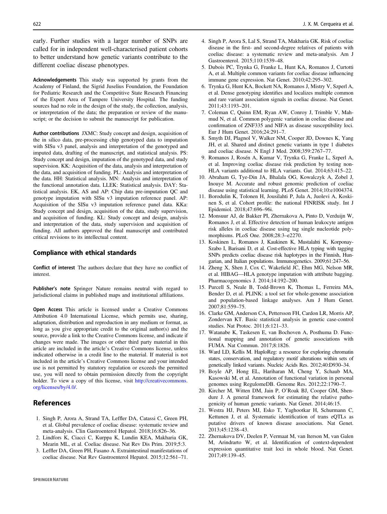early. Further studies with a larger number of SNPs are called for in independent well-characterised patient cohorts to better understand how genetic variants contribute to the different coeliac disease phenotypes.

Acknowledgements This study was supported by grants from the Academy of Finland, the Sigrid Juselius Foundation, the Foundation for Pediatric Research and the Competitive State Research Financing of the Expert Area of Tampere University Hospital. The funding sources had no role in the design of the study, the collection, analysis, or interpretation of the data; the preparation or review of the manuscript; or the decision to submit the manuscript for publication.

Author contributions JXMC: Study concept and design, acquisition of the in silico data, pre-processing chip genotyped data to imputation with SISu v3 panel, analysis and interpretation of the genotyped and imputed data, drafting of the manuscript, and statistical analysis. PS: Study concept and design, imputation of the genotyped data, and study supervision. KK: Acquisition of the data, analysis and interpretation of the data, and acquisition of funding. PL: Analysis and interpretation of the data. HH: Statistical analysis. MN: Analysis and interpretation of the functional annotation data. LLEK: Statistical analysis. DAY: Statistical analysis. EK, AS and AP: Chip data pre-imputation QC and genotype imputation with SISu v3 imputation reference panel. AP: Acquisition of the SISu v3 imputation reference panel data. KKa: Study concept and design, acquisition of the data, study supervision, and acquisition of funding. KL: Study concept and design, analysis and interpretation of the data, study supervision and acquisition of funding. All authors approved the final manuscript and contributed critical revisions to its intellectual content.

#### Compliance with ethical standards

Conflict of interest The authors declare that they have no conflict of interest.

Publisher's note Springer Nature remains neutral with regard to jurisdictional claims in published maps and institutional affiliations.

Open Access This article is licensed under a Creative Commons Attribution 4.0 International License, which permits use, sharing, adaptation, distribution and reproduction in any medium or format, as long as you give appropriate credit to the original author(s) and the source, provide a link to the Creative Commons license, and indicate if changes were made. The images or other third party material in this article are included in the article's Creative Commons license, unless indicated otherwise in a credit line to the material. If material is not included in the article's Creative Commons license and your intended use is not permitted by statutory regulation or exceeds the permitted use, you will need to obtain permission directly from the copyright holder. To view a copy of this license, visit [http://creativecommons.](http://creativecommons.org/licenses/by/4.0/) [org/licenses/by/4.0/.](http://creativecommons.org/licenses/by/4.0/)

## References

- 1. Singh P, Arora A, Strand TA, Leffler DA, Catassi C, Green PH, et al. Global prevalence of coeliac disease: systematic review and meta-analysis. Clin Gastroenterol Hepatol. 2018;16:826–36.
- 2. Lindfors K, Ciacci C, Kurppa K, Lundin KEA, Makharia GK, Mearin ML, et al. Coeliac disease. Nat Rev Dis Prim. 2019;5:3.
- 3. Leffler DA, Green PH, Fasano A. Extraintestinal manifestations of coeliac disease. Nat Rev Gastroenterol Hepatol. 2015;12:561–71.
- 4. Singh P, Arora S, Lal S, Strand TA, Makharia GK. Risk of coeliac disease in the first- and second-degree relatives of patients with coeliac disease: a systematic review and meta-analysis. Am J Gastroenterol. 2015;110:1539–48.
- 5. Dubois PC, Trynka G, Franke L, Hunt KA, Romanos J, Curtotti A, et al. Multiple common variants for coeliac disease influencing immune gene expression. Nat Genet. 2010;42:295–302.
- 6. Trynka G, Hunt KA, Bockett NA, Romanos J, Mistry V, Szperl A, et al. Dense genotyping identifies and localizes multiple common and rare variant association signals in coeliac disease. Nat Genet. 2011;43:1193–201.
- 7. Coleman C, Quinn EM, Ryan AW, Conroy J, Trimble V, Mahmud N, et al. Common polygenic variation in coeliac disease and confirmation of ZNF335 and NIFA as disease susceptibility loci. Eur J Hum Genet. 2016;24:291–7.
- 8. Smyth DJ, Plagnol V, Walker NM, Cooper JD, Downes K, Yang JH, et al. Shared and distinct genetic variants in type 1 diabetes and coeliac disease. N Engl J Med. 2008;359:2767–77.
- 9. Romanos J, Rosén A, Kumar V, Trynka G, Franke L, Szperl A, et al. Improving coeliac disease risk prediction by testing non-HLA variants additional to HLA variants. Gut. 2014;63:415–22.
- 10. Abraham G, Tye-Din JA, Bhalala OG, Kowalczyk A, Zobel J, Inouye M. Accurate and robust genomic prediction of coeliac disease using statistical learning. PLoS Genet. 2014;10:e1004374.
- 11. Borodulin K, Tolonen H, Jousilahti P, Jula A, Juolevi A, Koskinen S, et al. Cohort profile: the national FINRISK study. Int J Epidemiol. 2018;47:696–96i.
- 12. Monsuur AJ, de Bakker PI, Zhernakova A, Pinto D, Verduijn W, Romanos J, et al. Effective detection of human leukocyte antigen risk alleles in coeliac disease using tag single nucleotide polymorphisms. PLoS One. 2008;28:3–e2270.
- 13. Koskinen L, Romanos J, Kaukinen K, Mustalahti K, Korponay-Szabo I, Barisani D, et al. Cost-effective HLA typing with tagging SNPs predicts coeliac disease risk haplotypes in the Finnish, Hungarian, and Italian populations. Immunogenetics. 2009;61:247–56.
- 14. Zheng X, Shen J, Cox C, Wakefield JC, Ehm MG, Nelson MR, et al. HIBAG—HLA genotype imputation with attribute bagging. Pharmacogenomics J. 2014;14:192–200.
- 15. Purcell S, Neale B, Todd-Brown K, Thomas L, Ferreira MA, Bender D, et al. PLINK: a tool set for whole-genome association and population-based linkage analyses. Am J Hum Genet. 2007;81:559–75.
- 16. Clarke GM, Anderson CA, Pettersson FH, Cardon LR, Morris AP, Zondervan KT. Basic statistical analysis in genetic case-control studies. Nat Protoc. 2011;6:121–33.
- 17. Watanabe K, Taskesen E, van Bochoven A, Posthuma D. Functional mapping and annotation of genetic associations with FUMA. Nat Commun. 2017;8:1826.
- 18. Ward LD, Kellis M. HaploReg: a resource for exploring chromatin states, conservation, and regulatory motif alterations within sets of genetically linked variants. Nucleic Acids Res. 2012;40:D930–34.
- 19. Boyle AP, Hong EL, Hariharan M, Cheng Y, Schaub MA, Kasowski M, et al. Annotation of functional variation in personal genomes using RegulomeDB. Genome Res. 2012;22:1790–7.
- 20. Kircher M, Witten DM, Jain P, O'Roak BJ, Cooper GM, Shendure J. A general framework for estimating the relative pathogenicity of human genetic variants. Nat Genet. 2014;46:15.
- 21. Westra HJ, Peters MJ, Esko T, Yaghootkar H, Schurmann C, Kettunen J, et al. Systematic identification of trans eQTLs as putative drivers of known disease associations. Nat Genet. 2013;45:1238–43.
- 22. Zhernakova DV, Deelen P, Vermaat M, van Iterson M, van Galen M, Arindrarto W, et al. Identification of context-dependent expression quantitative trait loci in whole blood. Nat Genet. 2017;49:139–45.